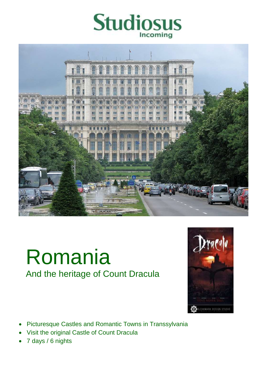



# Romania And the heritage of Count Dracula



- Picturesque Castles and Romantic Towns in Transsylvania
- Visit the original Castle of Count Dracula
- 7 days / 6 nights